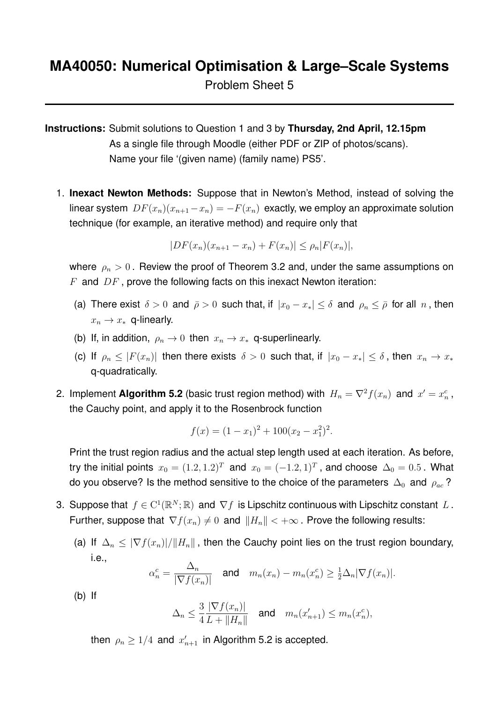Problem Sheet 5

**Instructions:** Submit solutions to Question 1 and 3 by **Thursday, 2nd April, 12.15pm** As a single file through Moodle (either PDF or ZIP of photos/scans). Name your file '(given name) (family name) PS5'.

1. **Inexact Newton Methods:** Suppose that in Newton's Method, instead of solving the linear system  $DF(x_n)(x_{n+1}-x_n) = -F(x_n)$  exactly, we employ an approximate solution technique (for example, an iterative method) and require only that

$$
|DF(x_n)(x_{n+1} - x_n) + F(x_n)| \le \rho_n |F(x_n)|,
$$

where  $\rho_n > 0$ . Review the proof of Theorem 3.2 and, under the same assumptions on  $F$  and  $DF$ , prove the following facts on this inexact Newton iteration:

- (a) There exist  $\delta > 0$  and  $\bar{\rho} > 0$  such that, if  $|x_0 x_*| \leq \delta$  and  $\rho_n \leq \bar{\rho}$  for all n, then  $x_n \to x_*$  q-linearly.
- (b) If, in addition,  $\rho_n \to 0$  then  $x_n \to x_*$  q-superlinearly.
- (c) If  $\rho_n \leq |F(x_n)|$  then there exists  $\delta > 0$  such that, if  $|x_0 x_*| \leq \delta$ , then  $x_n \to x_*$ q-quadratically.
- 2. Implement Algorithm 5.2 (basic trust region method) with  $H_n = \nabla^2 f(x_n)$  and  $x' = x_n^c$ , the Cauchy point, and apply it to the Rosenbrock function

$$
f(x) = (1 - x1)2 + 100(x2 - x12)2.
$$

Print the trust region radius and the actual step length used at each iteration. As before, try the initial points  $x_0 = (1.2, 1.2)^T$  and  $x_0 = (-1.2, 1)^T$ , and choose  $\Delta_0 = 0.5$  . What do you observe? Is the method sensitive to the choice of the parameters  $\Delta_0$  and  $\rho_{ac}$ ?

- 3. Suppose that  $f \in C^1(\mathbb{R}^N;\mathbb{R})$  and  $\nabla f$  is Lipschitz continuous with Lipschitz constant  $L$ . Further, suppose that  $\nabla f(x_n) \neq 0$  and  $||H_n|| < +\infty$ . Prove the following results:
	- (a) If  $\Delta_n \leq |\nabla f(x_n)|/||H_n||$ , then the Cauchy point lies on the trust region boundary, i.e.,

$$
\alpha_n^c = \frac{\Delta_n}{|\nabla f(x_n)|} \quad \text{and} \quad m_n(x_n) - m_n(x_n^c) \ge \frac{1}{2}\Delta_n|\nabla f(x_n)|.
$$

(b) If

$$
\Delta_n \leq \frac{3}{4} \frac{|\nabla f(x_n)|}{L + \|H_n\|} \quad \text{and} \quad m_n(x'_{n+1}) \leq m_n(x_n^c),
$$

then  $\rho_n \geq 1/4$  and  $x'_{n+1}$  in Algorithm 5.2 is accepted.